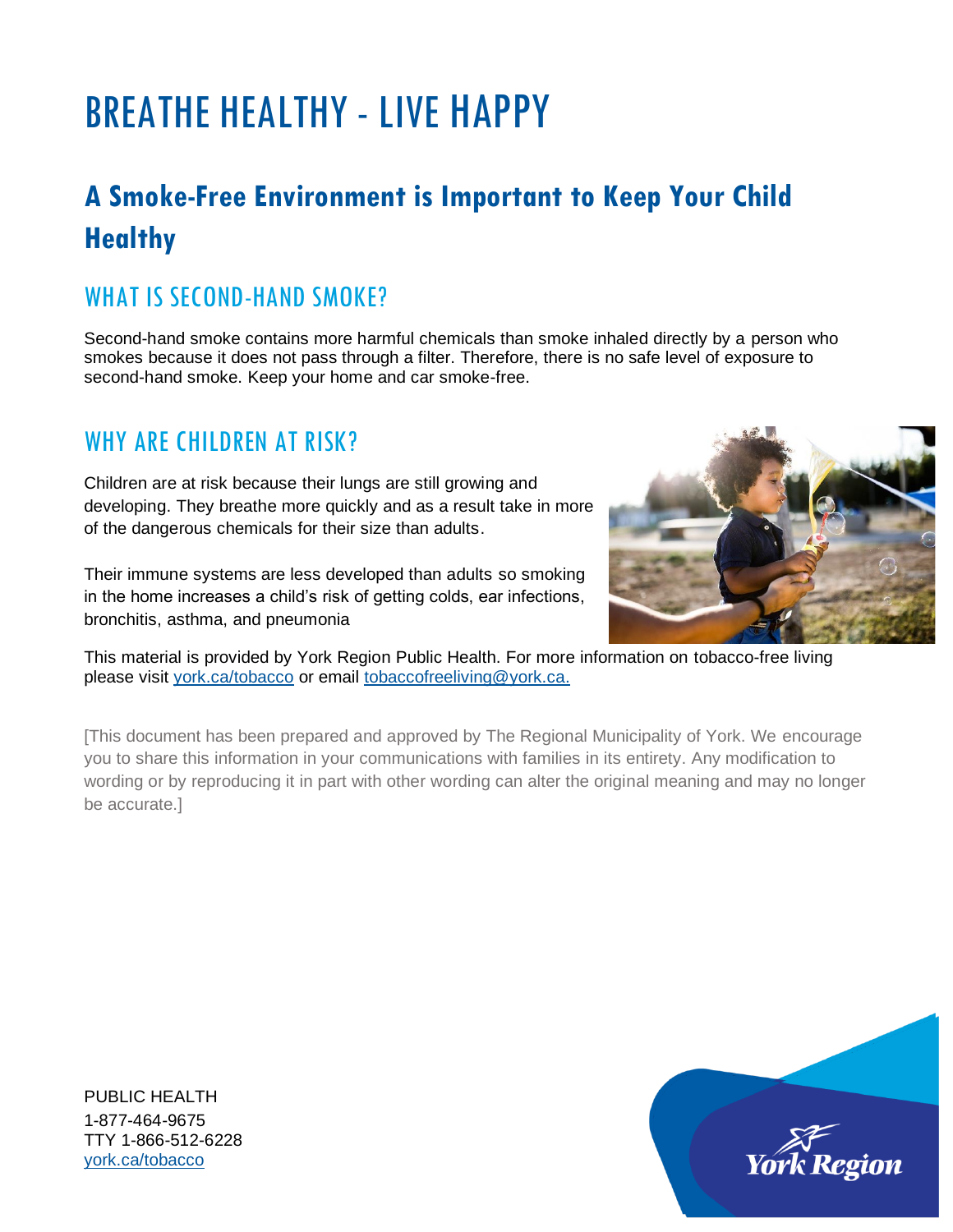## BREATHE HEALTHY - LIVE HAPPY

## **A Smoke-Free Environment is Important to Keep Your Child Healthy**

#### WHAT IS SECOND-HAND SMOKE?

Second-hand smoke contains more harmful chemicals than smoke inhaled directly by a person who smokes because it does not pass through a filter. Therefore, there is no safe level of exposure to second-hand smoke. Keep your home and car smoke-free.

#### WHY ARE CHILDREN AT RISK?

Children are at risk because their lungs are still growing and developing. They breathe more quickly and as a result take in more of the dangerous chemicals for their size than adults.

Their immune systems are less developed than adults so smoking in the home increases a child's risk of getting colds, ear infections, bronchitis, asthma, and pneumonia



This material is provided by York Region Public Health. For more information on tobacco-free living please visit [york.ca/tobacco](http://york.ca/tobacco) or email [tobaccofreeliving@york.ca.](mailto:tobaccofreeliving@york.ca)

[This document has been prepared and approved by The Regional Municipality of York. We encourage you to share this information in your communications with families in its entirety. Any modification to wording or by reproducing it in part with other wording can alter the original meaning and may no longer be accurate.]

PUBLIC HEALTH 1-877-464-9675 TTY 1-866-512-6228 [york.ca/tobacco](http://www.york.ca/tobacco)

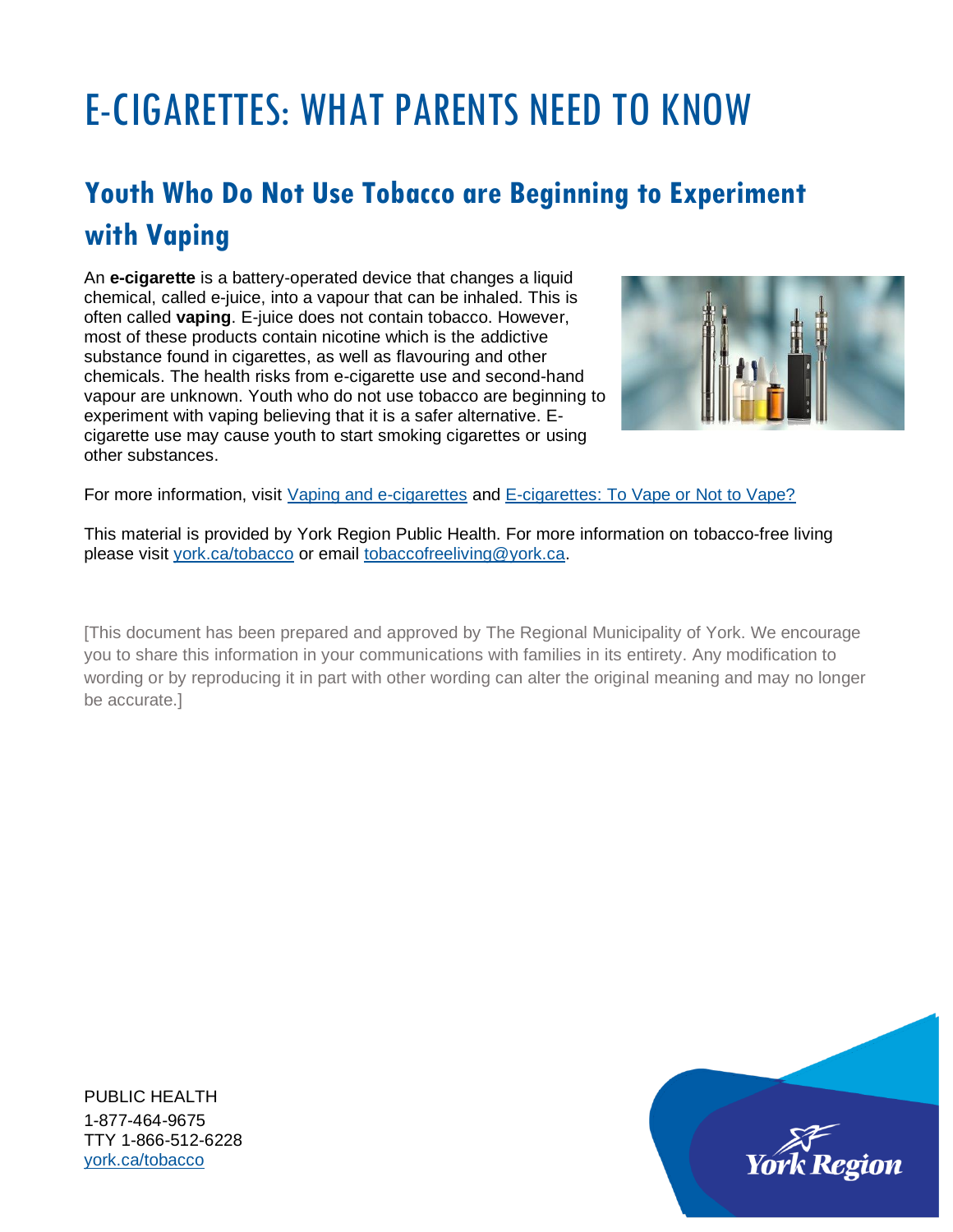## E-CIGARETTES: WHAT PARENTS NEED TO KNOW

## **Youth Who Do Not Use Tobacco are Beginning to Experiment with Vaping**

An **e-cigarette** is a battery-operated device that changes a liquid chemical, called e-juice, into a vapour that can be inhaled. This is often called **vaping**. E-juice does not contain tobacco. However, most of these products contain nicotine which is the addictive substance found in cigarettes, as well as flavouring and other chemicals. The health risks from e-cigarette use and second-hand vapour are unknown. Youth who do not use tobacco are beginning to experiment with vaping believing that it is a safer alternative. Ecigarette use may cause youth to start smoking cigarettes or using other substances.



For more information, visit [Vaping and e-cigarettes](http://www.york.ca/wps/portal/yorkhome/health/yr/substanceuse/vapingandecigarettes) and [E-cigarettes: To Vape or Not to Vape?](https://www.youtube.com/watch?v=_wAM3ql4HWs&feature=youtu.be)

This material is provided by York Region Public Health. For more information on tobacco-free living please visit [york.ca/tobacco](http://york.ca/tobacco) or email [tobaccofreeliving@york.ca.](mailto:tobaccofreeliving@york.ca)

[This document has been prepared and approved by The Regional Municipality of York. We encourage you to share this information in your communications with families in its entirety. Any modification to wording or by reproducing it in part with other wording can alter the original meaning and may no longer be accurate.]

PUBLIC HEALTH 1-877-464-9675 TTY 1-866-512-6228 [york.ca/tobacco](http://www.york.ca/tobacco)

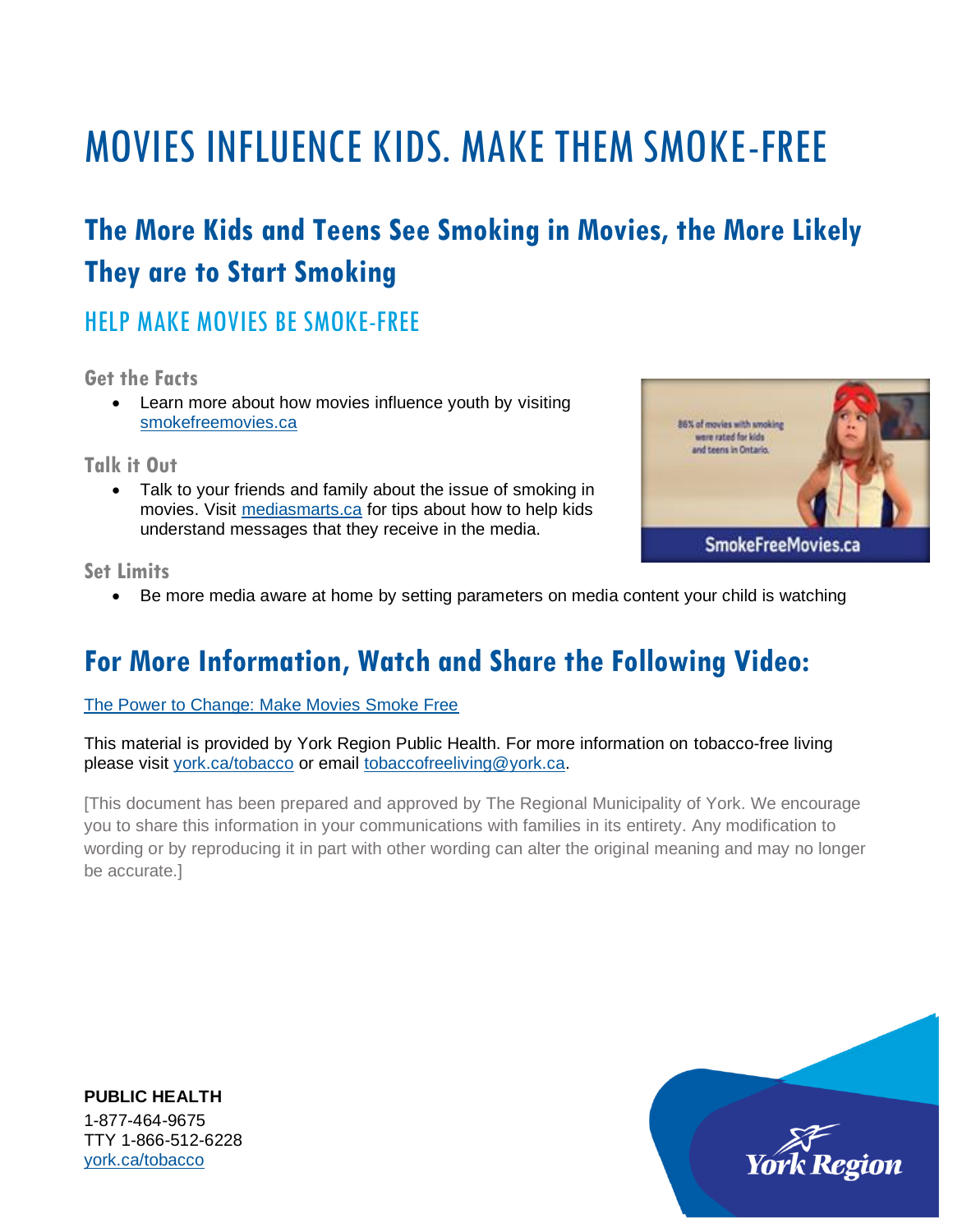## MOVIES INFLUENCE KIDS. MAKE THEM SMOKE-FREE

## **The More Kids and Teens See Smoking in Movies, the More Likely They are to Start Smoking**

#### HELP MAKE MOVIES BE SMOKE-FREE

**Get the Facts**

• Learn more about how movies influence youth by visiting [smokefreemovies.ca](http://www.smokefreemovies.ca/)

**Talk it Out**

• Talk to your friends and family about the issue of smoking in movies. Visit [mediasmarts.ca](http://www.mediasmarts.ca/) for tips about how to help kids understand messages that they receive in the media.



**Set Limits**

• Be more media aware at home by setting parameters on media content your child is watching

### **For More Information, Watch and Share the Following Video:**

[The Power to Change: Make Movies Smoke Free](https://www.youtube.com/watch?v=LD6ySSo_hiQ&feature=youtu.be)

This material is provided by York Region Public Health. For more information on tobacco-free living please visit [york.ca/tobacco](http://york.ca/tobacco) or email [tobaccofreeliving@york.ca.](mailto:tobaccofreeliving@york.ca)

[This document has been prepared and approved by The Regional Municipality of York. We encourage you to share this information in your communications with families in its entirety. Any modification to wording or by reproducing it in part with other wording can alter the original meaning and may no longer be accurate.]

**PUBLIC HEALTH** 1-877-464-9675 TTY 1-866-512-6228 [york.ca/tobacco](http://www.york.ca/tobacco)

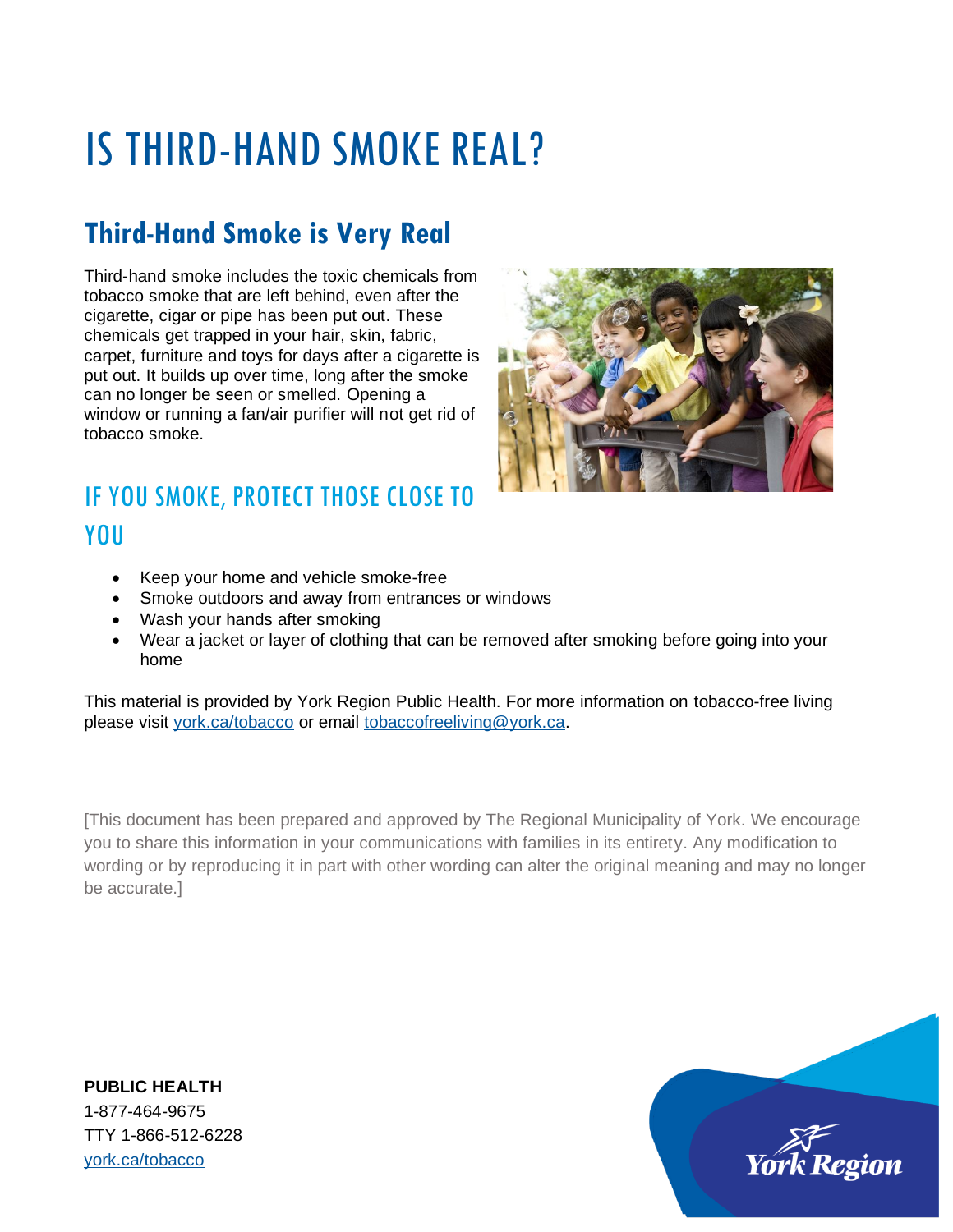# IS THIRD-HAND SMOKE REAL?

### **Third-Hand Smoke is Very Real**

Third-hand smoke includes the toxic chemicals from tobacco smoke that are left behind, even after the cigarette, cigar or pipe has been put out. These chemicals get trapped in your hair, skin, fabric, carpet, furniture and toys for days after a cigarette is put out. It builds up over time, long after the smoke can no longer be seen or smelled. Opening a window or running a fan/air purifier will not get rid of tobacco smoke.

### IF YOU SMOKE, PROTECT THOSE CLOSE TO YOU

- Keep your home and vehicle smoke-free
- Smoke outdoors and away from entrances or windows
- Wash your hands after smoking
- Wear a jacket or layer of clothing that can be removed after smoking before going into your home

This material is provided by York Region Public Health. For more information on tobacco-free living please visit [york.ca/tobacco](http://york.ca/tobacco) or email [tobaccofreeliving@york.ca.](mailto:tobaccofreeliving@york.ca)

[This document has been prepared and approved by The Regional Municipality of York. We encourage you to share this information in your communications with families in its entirety. Any modification to wording or by reproducing it in part with other wording can alter the original meaning and may no longer be accurate.]

**PUBLIC HEALTH** 1-877-464-9675 TTY 1-866-512-6228 [york.ca/tobacco](http://www.york.ca/tobacco)



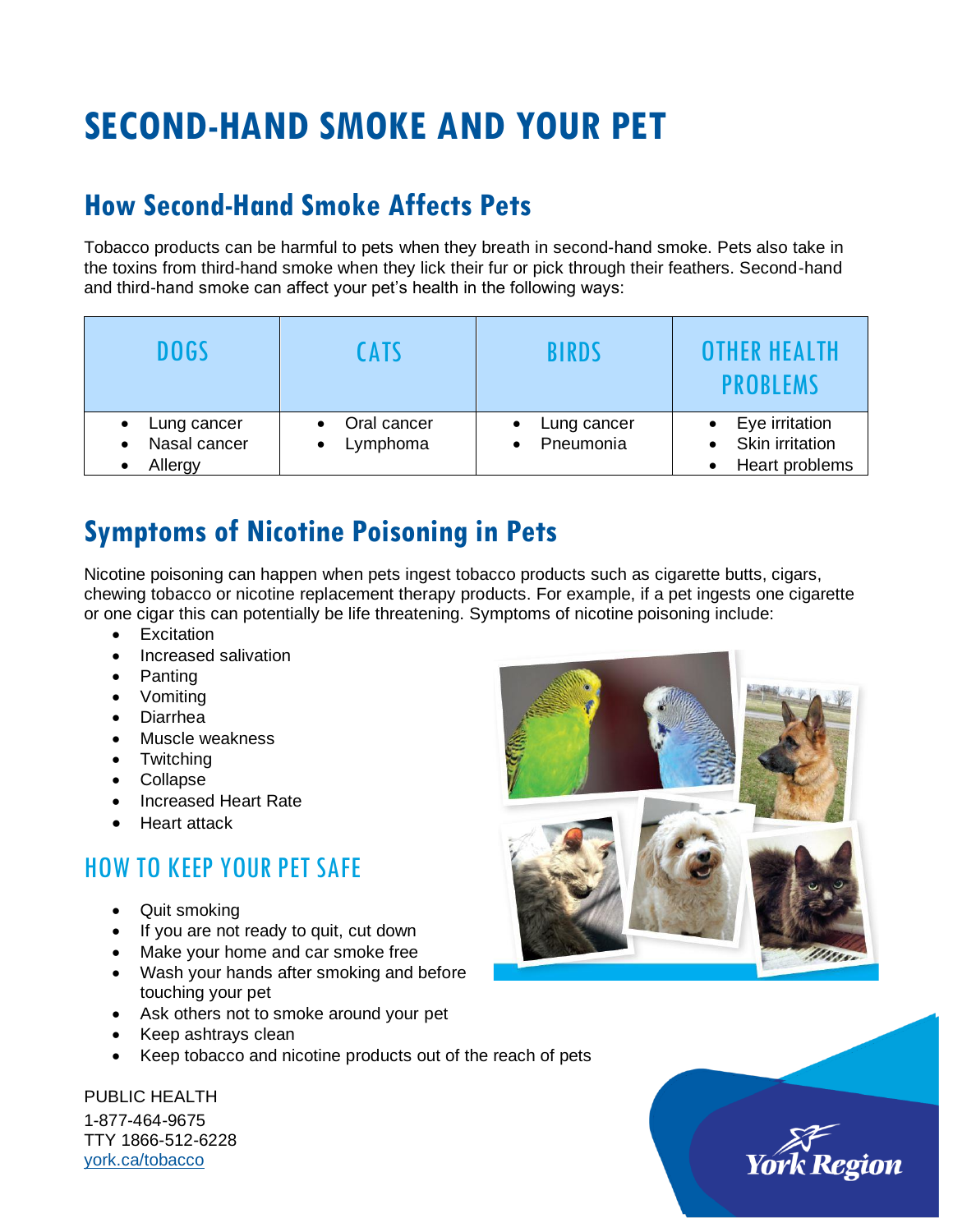## **SECOND-HAND SMOKE AND YOUR PET**

#### **How Second-Hand Smoke Affects Pets**

Tobacco products can be harmful to pets when they breath in second-hand smoke. Pets also take in the toxins from third-hand smoke when they lick their fur or pick through their feathers. Second-hand and third-hand smoke can affect your pet's health in the following ways:

| <b>DOGS</b>                                         | <b>CATS</b>                 | <b>BIRDS</b>             | <b>OTHER HEALTH</b><br><b>PROBLEMS</b>              |
|-----------------------------------------------------|-----------------------------|--------------------------|-----------------------------------------------------|
| Lung cancer<br>Nasal cancer<br>$\bullet$<br>Allergy | • Oral cancer<br>• Lymphoma | Lung cancer<br>Pneumonia | Eye irritation<br>Skin irritation<br>Heart problems |

#### **Symptoms of Nicotine Poisoning in Pets**

Nicotine poisoning can happen when pets ingest tobacco products such as cigarette butts, cigars, chewing tobacco or nicotine replacement therapy products. For example, if a pet ingests one cigarette or one cigar this can potentially be life threatening. Symptoms of nicotine poisoning include:

- Excitation
- Increased salivation
- Panting
- Vomiting
- Diarrhea
- Muscle weakness
- Twitching
- Collapse
- Increased Heart Rate
- Heart attack

#### HOW TO KEEP YOUR PET SAFE

- Quit smoking
- If you are not ready to quit, cut down
- Make your home and car smoke free
- Wash your hands after smoking and before touching your pet
- Ask others not to smoke around your pet
- Keep ashtrays clean
- Keep tobacco and nicotine products out of the reach of pets

PUBLIC HEALTH

1-877-464-9675 TTY 1866-512-6228 [york.ca/tobacco](http://www.york.ca/tobacco)